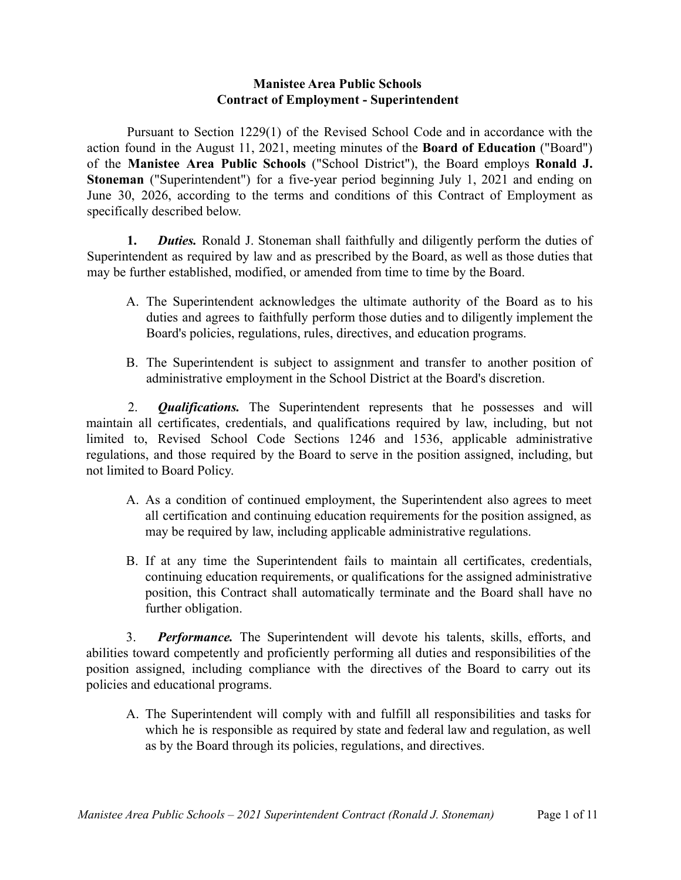## **Manistee Area Public Schools Contract of Employment - Superintendent**

Pursuant to Section 1229(1) of the Revised School Code and in accordance with the action found in the August 11, 2021, meeting minutes of the **Board of Education** ("Board") of the **Manistee Area Public Schools** ("School District"), the Board employs **Ronald J. Stoneman** ("Superintendent") for a five-year period beginning July 1, 2021 and ending on June 30, 2026, according to the terms and conditions of this Contract of Employment as specifically described below.

**1.** *Duties.* Ronald J. Stoneman shall faithfully and diligently perform the duties of Superintendent as required by law and as prescribed by the Board, as well as those duties that may be further established, modified, or amended from time to time by the Board.

- A. The Superintendent acknowledges the ultimate authority of the Board as to his duties and agrees to faithfully perform those duties and to diligently implement the Board's policies, regulations, rules, directives, and education programs.
- B. The Superintendent is subject to assignment and transfer to another position of administrative employment in the School District at the Board's discretion.

2. *Qualifications.* The Superintendent represents that he possesses and will maintain all certificates, credentials, and qualifications required by law, including, but not limited to, Revised School Code Sections 1246 and 1536, applicable administrative regulations, and those required by the Board to serve in the position assigned, including, but not limited to Board Policy.

- A. As a condition of continued employment, the Superintendent also agrees to meet all certification and continuing education requirements for the position assigned, as may be required by law, including applicable administrative regulations.
- B. If at any time the Superintendent fails to maintain all certificates, credentials, continuing education requirements, or qualifications for the assigned administrative position, this Contract shall automatically terminate and the Board shall have no further obligation.

3. *Performance.* The Superintendent will devote his talents, skills, efforts, and abilities toward competently and proficiently performing all duties and responsibilities of the position assigned, including compliance with the directives of the Board to carry out its policies and educational programs.

A. The Superintendent will comply with and fulfill all responsibilities and tasks for which he is responsible as required by state and federal law and regulation, as well as by the Board through its policies, regulations, and directives.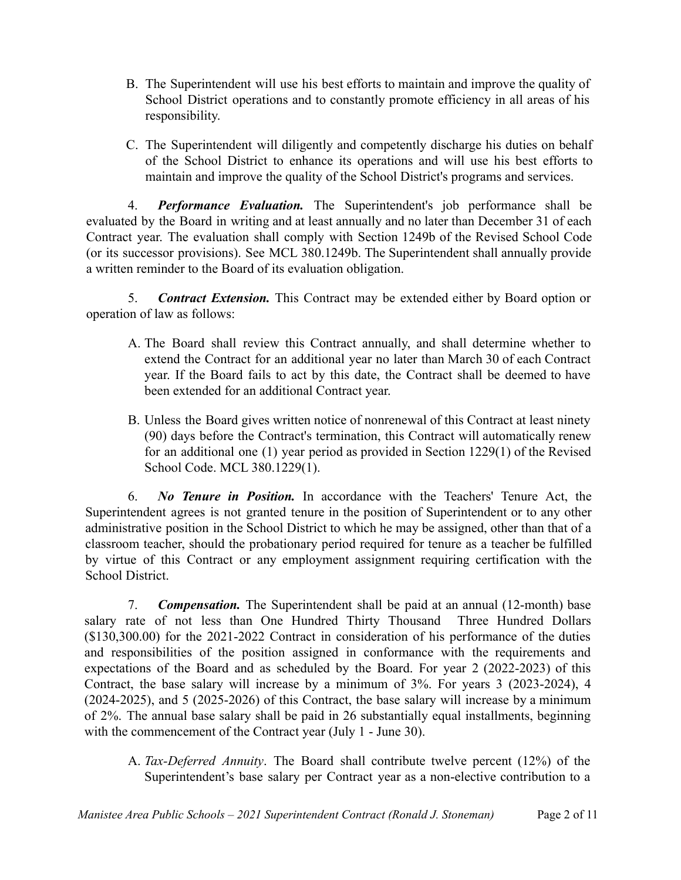- B. The Superintendent will use his best efforts to maintain and improve the quality of School District operations and to constantly promote efficiency in all areas of his responsibility.
- C. The Superintendent will diligently and competently discharge his duties on behalf of the School District to enhance its operations and will use his best efforts to maintain and improve the quality of the School District's programs and services.

4. *Performance Evaluation.* The Superintendent's job performance shall be evaluated by the Board in writing and at least annually and no later than December 31 of each Contract year. The evaluation shall comply with Section 1249b of the Revised School Code (or its successor provisions). See MCL 380.1249b. The Superintendent shall annually provide a written reminder to the Board of its evaluation obligation.

5. *Contract Extension.* This Contract may be extended either by Board option or operation of law as follows:

- A. The Board shall review this Contract annually, and shall determine whether to extend the Contract for an additional year no later than March 30 of each Contract year. If the Board fails to act by this date, the Contract shall be deemed to have been extended for an additional Contract year.
- B. Unless the Board gives written notice of nonrenewal of this Contract at least ninety (90) days before the Contract's termination, this Contract will automatically renew for an additional one (1) year period as provided in Section 1229(1) of the Revised School Code. MCL 380.1229(1).

6. *No Tenure in Position.* In accordance with the Teachers' Tenure Act, the Superintendent agrees is not granted tenure in the position of Superintendent or to any other administrative position in the School District to which he may be assigned, other than that of a classroom teacher, should the probationary period required for tenure as a teacher be fulfilled by virtue of this Contract or any employment assignment requiring certification with the School District.

7. *Compensation.* The Superintendent shall be paid at an annual (12-month) base salary rate of not less than One Hundred Thirty Thousand Three Hundred Dollars (\$130,300.00) for the 2021-2022 Contract in consideration of his performance of the duties and responsibilities of the position assigned in conformance with the requirements and expectations of the Board and as scheduled by the Board. For year 2 (2022-2023) of this Contract, the base salary will increase by a minimum of 3%. For years 3 (2023-2024), 4 (2024-2025), and 5 (2025-2026) of this Contract, the base salary will increase by a minimum of 2%. The annual base salary shall be paid in 26 substantially equal installments, beginning with the commencement of the Contract year (July 1 - June 30).

A. *Tax-Deferred Annuity*. The Board shall contribute twelve percent (12%) of the Superintendent's base salary per Contract year as a non-elective contribution to a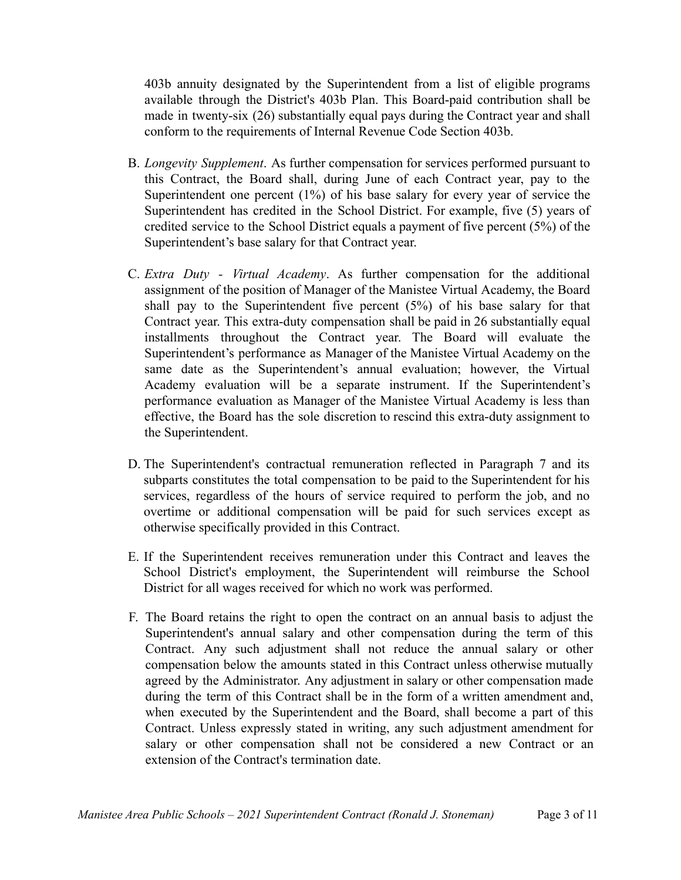403b annuity designated by the Superintendent from a list of eligible programs available through the District's 403b Plan. This Board-paid contribution shall be made in twenty-six (26) substantially equal pays during the Contract year and shall conform to the requirements of Internal Revenue Code Section 403b.

- B. *Longevity Supplement*. As further compensation for services performed pursuant to this Contract, the Board shall, during June of each Contract year, pay to the Superintendent one percent (1%) of his base salary for every year of service the Superintendent has credited in the School District. For example, five (5) years of credited service to the School District equals a payment of five percent (5%) of the Superintendent's base salary for that Contract year.
- C. *Extra Duty - Virtual Academy*. As further compensation for the additional assignment of the position of Manager of the Manistee Virtual Academy, the Board shall pay to the Superintendent five percent (5%) of his base salary for that Contract year. This extra-duty compensation shall be paid in 26 substantially equal installments throughout the Contract year. The Board will evaluate the Superintendent's performance as Manager of the Manistee Virtual Academy on the same date as the Superintendent's annual evaluation; however, the Virtual Academy evaluation will be a separate instrument. If the Superintendent's performance evaluation as Manager of the Manistee Virtual Academy is less than effective, the Board has the sole discretion to rescind this extra-duty assignment to the Superintendent.
- D. The Superintendent's contractual remuneration reflected in Paragraph 7 and its subparts constitutes the total compensation to be paid to the Superintendent for his services, regardless of the hours of service required to perform the job, and no overtime or additional compensation will be paid for such services except as otherwise specifically provided in this Contract.
- E. If the Superintendent receives remuneration under this Contract and leaves the School District's employment, the Superintendent will reimburse the School District for all wages received for which no work was performed.
- F. The Board retains the right to open the contract on an annual basis to adjust the Superintendent's annual salary and other compensation during the term of this Contract. Any such adjustment shall not reduce the annual salary or other compensation below the amounts stated in this Contract unless otherwise mutually agreed by the Administrator. Any adjustment in salary or other compensation made during the term of this Contract shall be in the form of a written amendment and, when executed by the Superintendent and the Board, shall become a part of this Contract. Unless expressly stated in writing, any such adjustment amendment for salary or other compensation shall not be considered a new Contract or an extension of the Contract's termination date.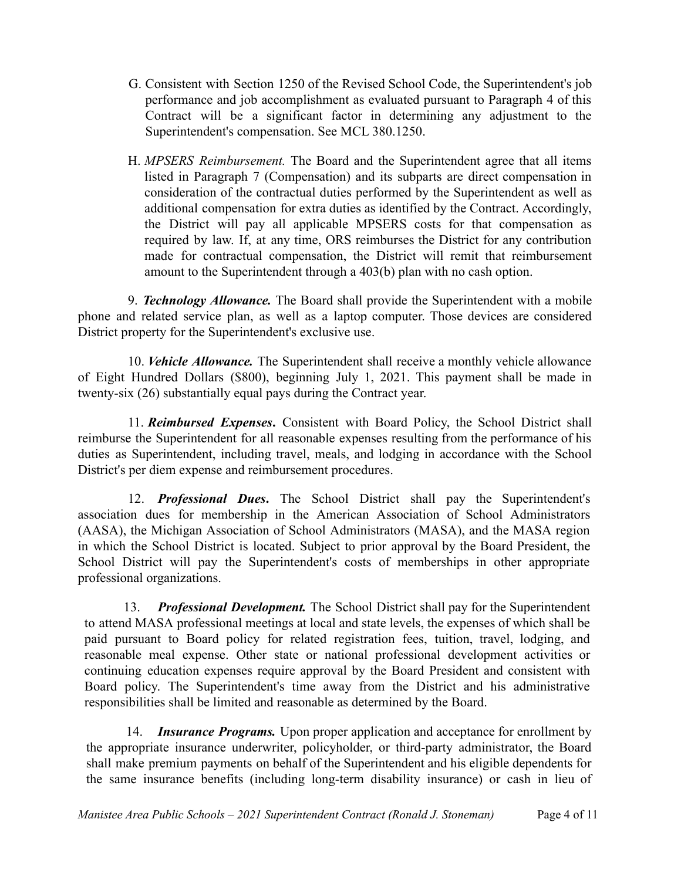- G. Consistent with Section 1250 of the Revised School Code, the Superintendent's job performance and job accomplishment as evaluated pursuant to Paragraph 4 of this Contract will be a significant factor in determining any adjustment to the Superintendent's compensation. See MCL 380.1250.
- H. *MPSERS Reimbursement.* The Board and the Superintendent agree that all items listed in Paragraph 7 (Compensation) and its subparts are direct compensation in consideration of the contractual duties performed by the Superintendent as well as additional compensation for extra duties as identified by the Contract. Accordingly, the District will pay all applicable MPSERS costs for that compensation as required by law. If, at any time, ORS reimburses the District for any contribution made for contractual compensation, the District will remit that reimbursement amount to the Superintendent through a 403(b) plan with no cash option.

9. *Technology Allowance.* The Board shall provide the Superintendent with a mobile phone and related service plan, as well as a laptop computer. Those devices are considered District property for the Superintendent's exclusive use.

10. *Vehicle Allowance.* The Superintendent shall receive a monthly vehicle allowance of Eight Hundred Dollars (\$800), beginning July 1, 2021. This payment shall be made in twenty-six (26) substantially equal pays during the Contract year.

11. *Reimbursed Expenses***.** Consistent with Board Policy, the School District shall reimburse the Superintendent for all reasonable expenses resulting from the performance of his duties as Superintendent, including travel, meals, and lodging in accordance with the School District's per diem expense and reimbursement procedures.

12. *Professional Dues***.** The School District shall pay the Superintendent's association dues for membership in the American Association of School Administrators (AASA), the Michigan Association of School Administrators (MASA), and the MASA region in which the School District is located. Subject to prior approval by the Board President, the School District will pay the Superintendent's costs of memberships in other appropriate professional organizations.

13. *Professional Development.* The School District shall pay for the Superintendent to attend MASA professional meetings at local and state levels, the expenses of which shall be paid pursuant to Board policy for related registration fees, tuition, travel, lodging, and reasonable meal expense. Other state or national professional development activities or continuing education expenses require approval by the Board President and consistent with Board policy. The Superintendent's time away from the District and his administrative responsibilities shall be limited and reasonable as determined by the Board.

14. *Insurance Programs.* Upon proper application and acceptance for enrollment by the appropriate insurance underwriter, policyholder, or third-party administrator, the Board shall make premium payments on behalf of the Superintendent and his eligible dependents for the same insurance benefits (including long-term disability insurance) or cash in lieu of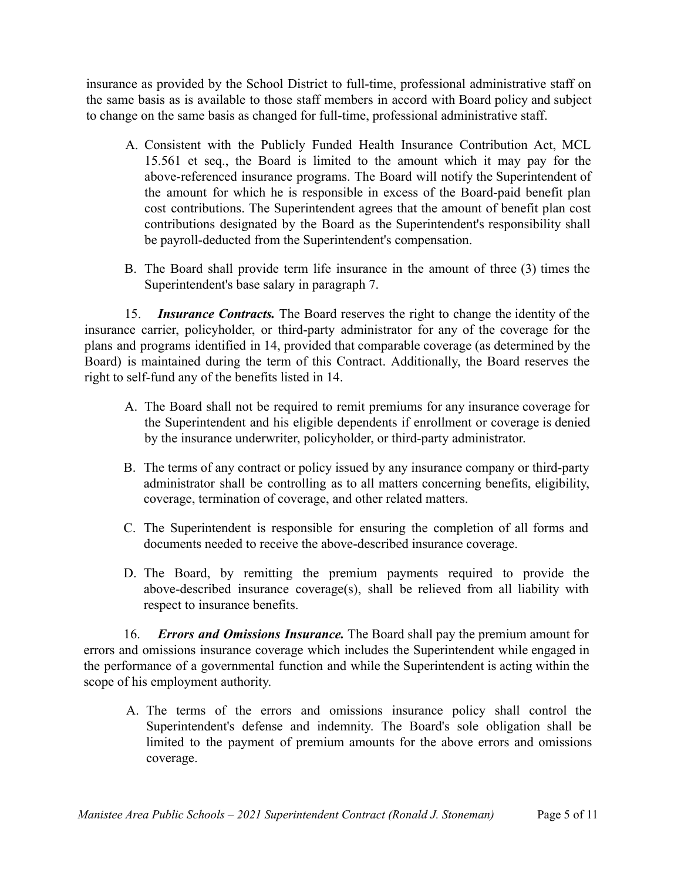insurance as provided by the School District to full-time, professional administrative staff on the same basis as is available to those staff members in accord with Board policy and subject to change on the same basis as changed for full-time, professional administrative staff.

- A. Consistent with the Publicly Funded Health Insurance Contribution Act, MCL 15.561 et seq., the Board is limited to the amount which it may pay for the above-referenced insurance programs. The Board will notify the Superintendent of the amount for which he is responsible in excess of the Board-paid benefit plan cost contributions. The Superintendent agrees that the amount of benefit plan cost contributions designated by the Board as the Superintendent's responsibility shall be payroll-deducted from the Superintendent's compensation.
- B. The Board shall provide term life insurance in the amount of three (3) times the Superintendent's base salary in paragraph 7.

15. *Insurance Contracts.* The Board reserves the right to change the identity of the insurance carrier, policyholder, or third-party administrator for any of the coverage for the plans and programs identified in 14, provided that comparable coverage (as determined by the Board) is maintained during the term of this Contract. Additionally, the Board reserves the right to self-fund any of the benefits listed in 14.

- A. The Board shall not be required to remit premiums for any insurance coverage for the Superintendent and his eligible dependents if enrollment or coverage is denied by the insurance underwriter, policyholder, or third-party administrator.
- B. The terms of any contract or policy issued by any insurance company or third-party administrator shall be controlling as to all matters concerning benefits, eligibility, coverage, termination of coverage, and other related matters.
- C. The Superintendent is responsible for ensuring the completion of all forms and documents needed to receive the above-described insurance coverage.
- D. The Board, by remitting the premium payments required to provide the above-described insurance coverage(s), shall be relieved from all liability with respect to insurance benefits.

16. *Errors and Omissions Insurance.* The Board shall pay the premium amount for errors and omissions insurance coverage which includes the Superintendent while engaged in the performance of a governmental function and while the Superintendent is acting within the scope of his employment authority.

A. The terms of the errors and omissions insurance policy shall control the Superintendent's defense and indemnity. The Board's sole obligation shall be limited to the payment of premium amounts for the above errors and omissions coverage.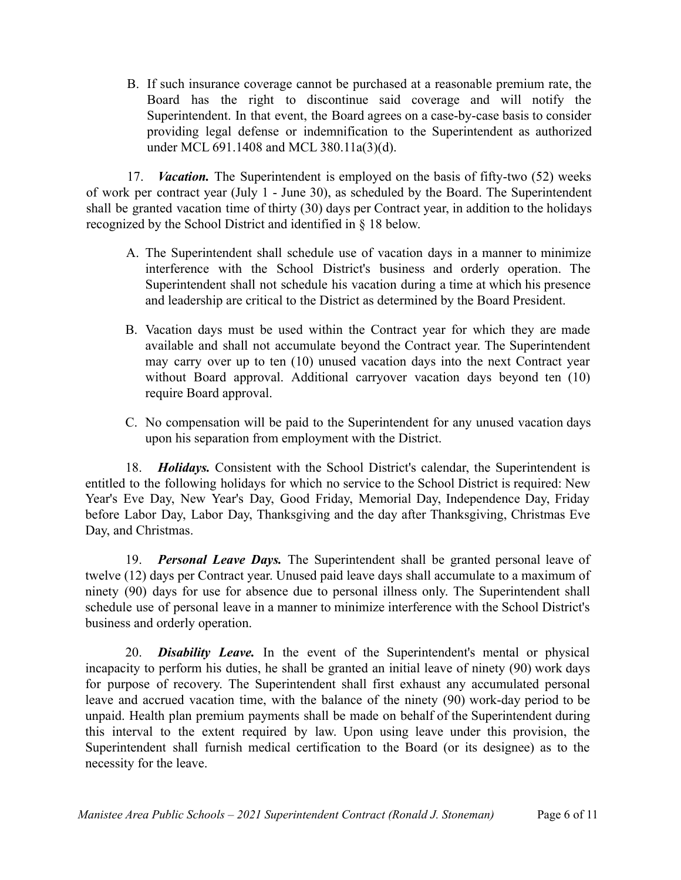B. If such insurance coverage cannot be purchased at a reasonable premium rate, the Board has the right to discontinue said coverage and will notify the Superintendent. In that event, the Board agrees on a case-by-case basis to consider providing legal defense or indemnification to the Superintendent as authorized under MCL 691.1408 and MCL 380.11a(3)(d).

17. *Vacation.* The Superintendent is employed on the basis of fifty-two (52) weeks of work per contract year (July 1 - June 30), as scheduled by the Board. The Superintendent shall be granted vacation time of thirty (30) days per Contract year, in addition to the holidays recognized by the School District and identified in § 18 below.

- A. The Superintendent shall schedule use of vacation days in a manner to minimize interference with the School District's business and orderly operation. The Superintendent shall not schedule his vacation during a time at which his presence and leadership are critical to the District as determined by the Board President.
- B. Vacation days must be used within the Contract year for which they are made available and shall not accumulate beyond the Contract year. The Superintendent may carry over up to ten (10) unused vacation days into the next Contract year without Board approval. Additional carryover vacation days beyond ten (10) require Board approval.
- C. No compensation will be paid to the Superintendent for any unused vacation days upon his separation from employment with the District.

18. *Holidays.* Consistent with the School District's calendar, the Superintendent is entitled to the following holidays for which no service to the School District is required: New Year's Eve Day, New Year's Day, Good Friday, Memorial Day, Independence Day, Friday before Labor Day, Labor Day, Thanksgiving and the day after Thanksgiving, Christmas Eve Day, and Christmas.

19. *Personal Leave Days.* The Superintendent shall be granted personal leave of twelve (12) days per Contract year. Unused paid leave days shall accumulate to a maximum of ninety (90) days for use for absence due to personal illness only. The Superintendent shall schedule use of personal leave in a manner to minimize interference with the School District's business and orderly operation.

20. *Disability Leave.* In the event of the Superintendent's mental or physical incapacity to perform his duties, he shall be granted an initial leave of ninety (90) work days for purpose of recovery. The Superintendent shall first exhaust any accumulated personal leave and accrued vacation time, with the balance of the ninety (90) work-day period to be unpaid. Health plan premium payments shall be made on behalf of the Superintendent during this interval to the extent required by law. Upon using leave under this provision, the Superintendent shall furnish medical certification to the Board (or its designee) as to the necessity for the leave.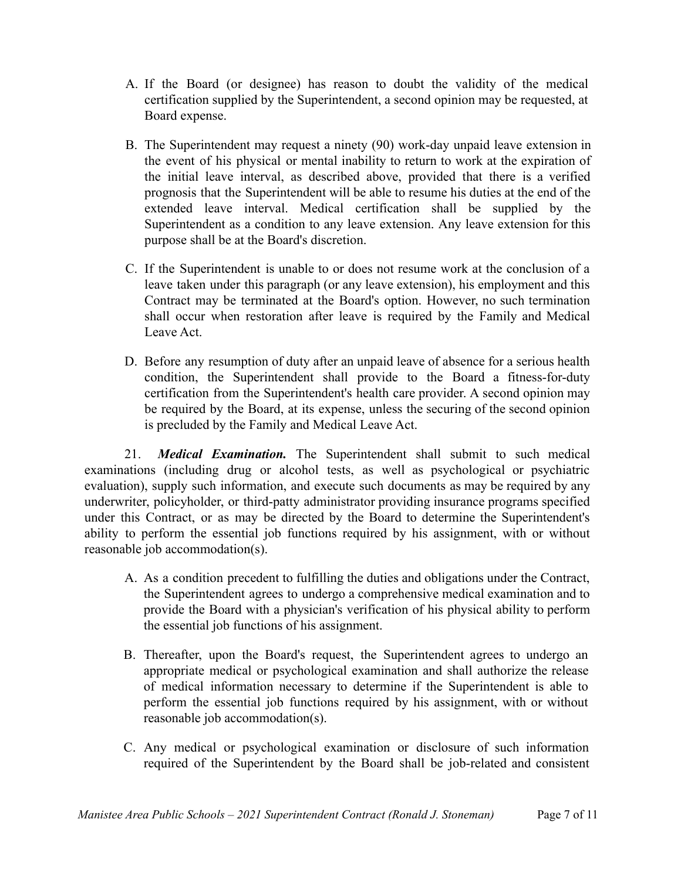- A. If the Board (or designee) has reason to doubt the validity of the medical certification supplied by the Superintendent, a second opinion may be requested, at Board expense.
- B. The Superintendent may request a ninety (90) work-day unpaid leave extension in the event of his physical or mental inability to return to work at the expiration of the initial leave interval, as described above, provided that there is a verified prognosis that the Superintendent will be able to resume his duties at the end of the extended leave interval. Medical certification shall be supplied by the Superintendent as a condition to any leave extension. Any leave extension for this purpose shall be at the Board's discretion.
- C. If the Superintendent is unable to or does not resume work at the conclusion of a leave taken under this paragraph (or any leave extension), his employment and this Contract may be terminated at the Board's option. However, no such termination shall occur when restoration after leave is required by the Family and Medical Leave Act.
- D. Before any resumption of duty after an unpaid leave of absence for a serious health condition, the Superintendent shall provide to the Board a fitness-for-duty certification from the Superintendent's health care provider. A second opinion may be required by the Board, at its expense, unless the securing of the second opinion is precluded by the Family and Medical Leave Act.

21. *Medical Examination.* The Superintendent shall submit to such medical examinations (including drug or alcohol tests, as well as psychological or psychiatric evaluation), supply such information, and execute such documents as may be required by any underwriter, policyholder, or third-patty administrator providing insurance programs specified under this Contract, or as may be directed by the Board to determine the Superintendent's ability to perform the essential job functions required by his assignment, with or without reasonable job accommodation(s).

- A. As a condition precedent to fulfilling the duties and obligations under the Contract, the Superintendent agrees to undergo a comprehensive medical examination and to provide the Board with a physician's verification of his physical ability to perform the essential job functions of his assignment.
- B. Thereafter, upon the Board's request, the Superintendent agrees to undergo an appropriate medical or psychological examination and shall authorize the release of medical information necessary to determine if the Superintendent is able to perform the essential job functions required by his assignment, with or without reasonable job accommodation(s).
- C. Any medical or psychological examination or disclosure of such information required of the Superintendent by the Board shall be job-related and consistent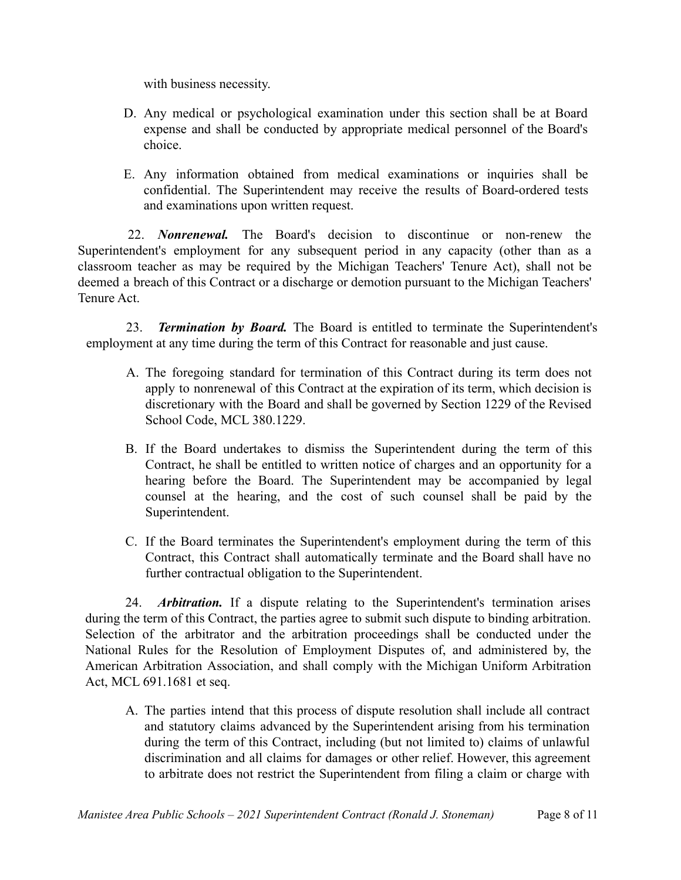with business necessity.

- D. Any medical or psychological examination under this section shall be at Board expense and shall be conducted by appropriate medical personnel of the Board's choice.
- E. Any information obtained from medical examinations or inquiries shall be confidential. The Superintendent may receive the results of Board-ordered tests and examinations upon written request.

22. *Nonrenewal.* The Board's decision to discontinue or non-renew the Superintendent's employment for any subsequent period in any capacity (other than as a classroom teacher as may be required by the Michigan Teachers' Tenure Act), shall not be deemed a breach of this Contract or a discharge or demotion pursuant to the Michigan Teachers' Tenure Act.

23. *Termination by Board.* The Board is entitled to terminate the Superintendent's employment at any time during the term of this Contract for reasonable and just cause.

- A. The foregoing standard for termination of this Contract during its term does not apply to nonrenewal of this Contract at the expiration of its term, which decision is discretionary with the Board and shall be governed by Section 1229 of the Revised School Code, MCL 380.1229.
- B. If the Board undertakes to dismiss the Superintendent during the term of this Contract, he shall be entitled to written notice of charges and an opportunity for a hearing before the Board. The Superintendent may be accompanied by legal counsel at the hearing, and the cost of such counsel shall be paid by the Superintendent.
- C. If the Board terminates the Superintendent's employment during the term of this Contract, this Contract shall automatically terminate and the Board shall have no further contractual obligation to the Superintendent.

24. *Arbitration.* If a dispute relating to the Superintendent's termination arises during the term of this Contract, the parties agree to submit such dispute to binding arbitration. Selection of the arbitrator and the arbitration proceedings shall be conducted under the National Rules for the Resolution of Employment Disputes of, and administered by, the American Arbitration Association, and shall comply with the Michigan Uniform Arbitration Act, MCL 691.1681 et seq.

A. The parties intend that this process of dispute resolution shall include all contract and statutory claims advanced by the Superintendent arising from his termination during the term of this Contract, including (but not limited to) claims of unlawful discrimination and all claims for damages or other relief. However, this agreement to arbitrate does not restrict the Superintendent from filing a claim or charge with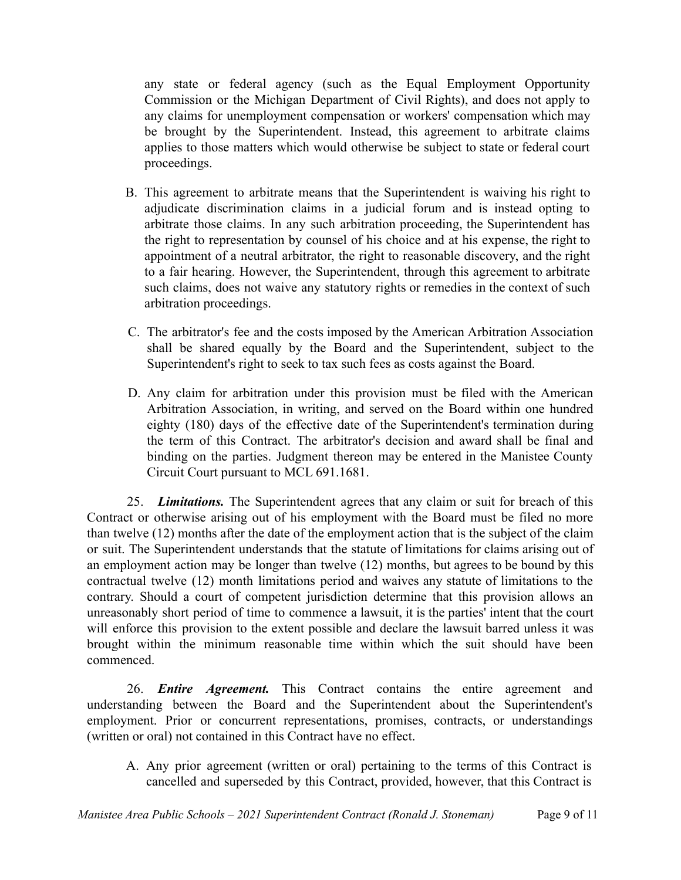any state or federal agency (such as the Equal Employment Opportunity Commission or the Michigan Department of Civil Rights), and does not apply to any claims for unemployment compensation or workers' compensation which may be brought by the Superintendent. Instead, this agreement to arbitrate claims applies to those matters which would otherwise be subject to state or federal court proceedings.

- B. This agreement to arbitrate means that the Superintendent is waiving his right to adjudicate discrimination claims in a judicial forum and is instead opting to arbitrate those claims. In any such arbitration proceeding, the Superintendent has the right to representation by counsel of his choice and at his expense, the right to appointment of a neutral arbitrator, the right to reasonable discovery, and the right to a fair hearing. However, the Superintendent, through this agreement to arbitrate such claims, does not waive any statutory rights or remedies in the context of such arbitration proceedings.
- C. The arbitrator's fee and the costs imposed by the American Arbitration Association shall be shared equally by the Board and the Superintendent, subject to the Superintendent's right to seek to tax such fees as costs against the Board.
- D. Any claim for arbitration under this provision must be filed with the American Arbitration Association, in writing, and served on the Board within one hundred eighty (180) days of the effective date of the Superintendent's termination during the term of this Contract. The arbitrator's decision and award shall be final and binding on the parties. Judgment thereon may be entered in the Manistee County Circuit Court pursuant to MCL 691.1681.

25. *Limitations.* The Superintendent agrees that any claim or suit for breach of this Contract or otherwise arising out of his employment with the Board must be filed no more than twelve (12) months after the date of the employment action that is the subject of the claim or suit. The Superintendent understands that the statute of limitations for claims arising out of an employment action may be longer than twelve (12) months, but agrees to be bound by this contractual twelve (12) month limitations period and waives any statute of limitations to the contrary. Should a court of competent jurisdiction determine that this provision allows an unreasonably short period of time to commence a lawsuit, it is the parties' intent that the court will enforce this provision to the extent possible and declare the lawsuit barred unless it was brought within the minimum reasonable time within which the suit should have been commenced.

26. *Entire Agreement.* This Contract contains the entire agreement and understanding between the Board and the Superintendent about the Superintendent's employment. Prior or concurrent representations, promises, contracts, or understandings (written or oral) not contained in this Contract have no effect.

A. Any prior agreement (written or oral) pertaining to the terms of this Contract is cancelled and superseded by this Contract, provided, however, that this Contract is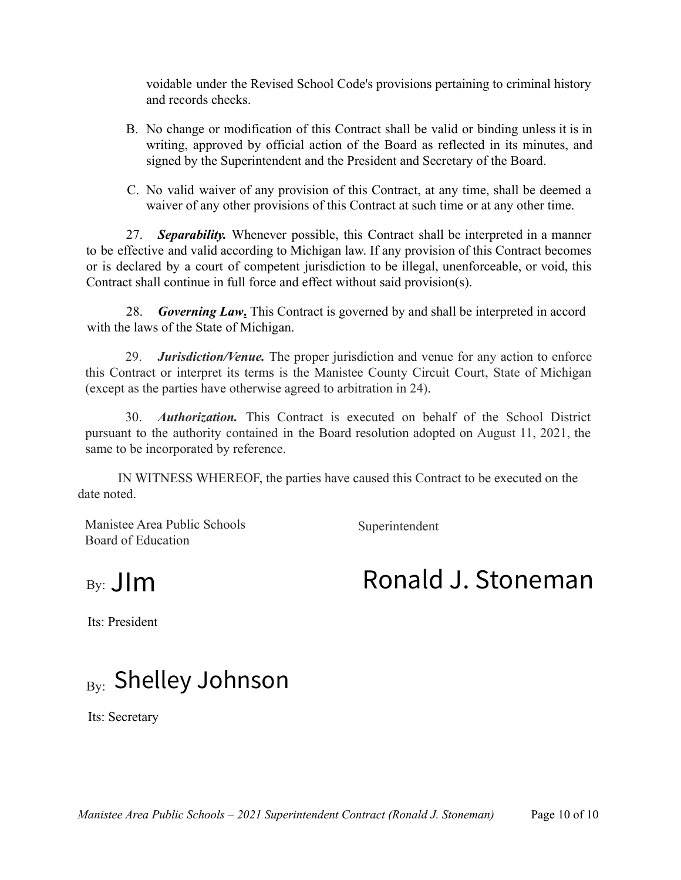voidable under the Revised School Code's provisions pertaining to criminal history and records checks.

- B. No change or modification of this Contract shall be valid or binding unless it is in writing, approved by official action of the Board as reflected in its minutes, and signed by the Superintendent and the President and Secretary of the Board.
- C. No valid waiver of any provision of this Contract, at any time, shall be deemed a waiver of any other provisions of this Contract at such time or at any other time.

27. *Separability.* Whenever possible, this Contract shall be interpreted in a manner to be effective and valid according to Michigan law. If any provision of this Contract becomes or is declared by a court of competent jurisdiction to be illegal, unenforceable, or void, this Contract shall continue in full force and effect without said provision(s).

28. *Governing Law***.** This Contract is governed by and shall be interpreted in accord with the laws of the State of Michigan.

29. *Jurisdiction/Venue.* The proper jurisdiction and venue for any action to enforce this Contract or interpret its terms is the Manistee County Circuit Court, State of Michigan (except as the parties have otherwise agreed to arbitration in 24).

30. *Authorization.* This Contract is executed on behalf of the School District pursuant to the authority contained in the Board resolution adopted on August 11, 2021, the same to be incorporated by reference.

IN WITNESS WHEREOF, the parties have caused this Contract to be executed on the date noted.

Manistee Area Public Schools Superintendent Board of Education

 $By:$   $\prod m$ 

## Ronald J. Stoneman

Its: President

## $_{\rm{By:}}$  Shelley Johnson

Its: Secretary